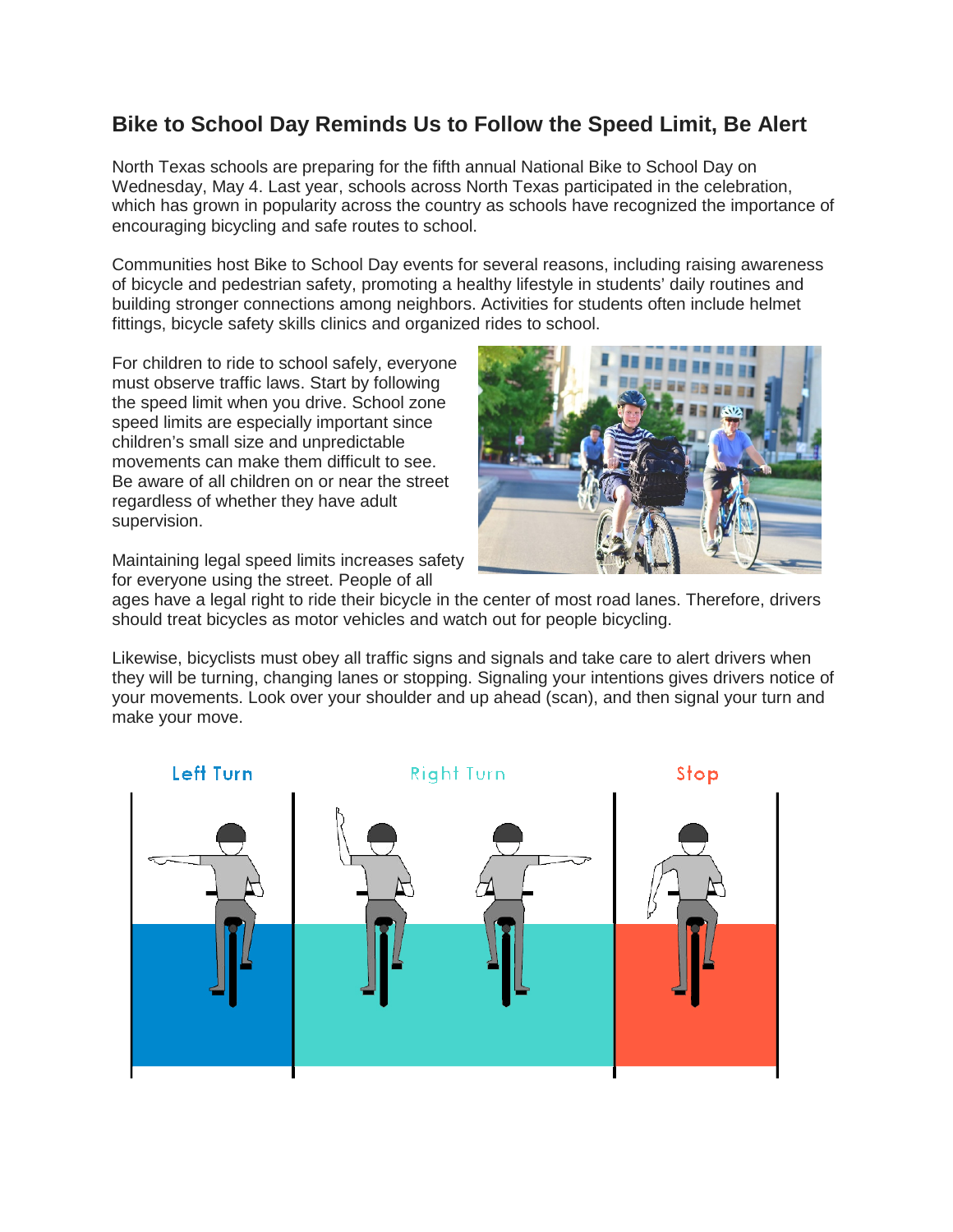## **Bike to School Day Reminds Us to Follow the Speed Limit, Be Alert**

North Texas schools are preparing for the fifth annual National Bike to School Day on Wednesday, May 4. Last year, schools across North Texas participated in the celebration, which has grown in popularity across the country as schools have recognized the importance of encouraging bicycling and safe routes to school.

Communities host Bike to School Day events for several reasons, including raising awareness of bicycle and pedestrian safety, promoting a healthy lifestyle in students' daily routines and building stronger connections among neighbors. Activities for students often include helmet fittings, bicycle safety skills clinics and organized rides to school.

For children to ride to school safely, everyone must observe traffic laws. Start by following the speed limit when you drive. School zone speed limits are especially important since children's small size and unpredictable movements can make them difficult to see. Be aware of all children on or near the street regardless of whether they have adult supervision.

Maintaining legal speed limits increases safety for everyone using the street. People of all



ages have a legal right to ride their bicycle in the center of most road lanes. Therefore, drivers should treat bicycles as motor vehicles and watch out for people bicycling.

Likewise, bicyclists must obey all traffic signs and signals and take care to alert drivers when they will be turning, changing lanes or stopping. Signaling your intentions gives drivers notice of your movements. Look over your shoulder and up ahead (scan), and then signal your turn and make your move.